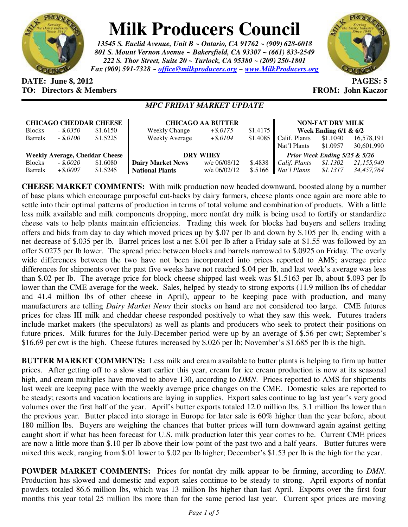

## **Milk Producers Council**

*13545 S. Euclid Avenue, Unit B ~ Ontario, CA 91762 ~ (909) 628-6018 801 S. Mount Vernon Avenue ~ Bakersfield, CA 93307 ~ (661) 833-2549 222 S. Thor Street, Suite 20 ~ Turlock, CA 95380 ~ (209) 250-1801 Fax (909) 591-7328 ~ office@milkproducers.org ~ www.MilkProducers.org*



## **DATE: June 8, 2012 PAGES: 5 TO: Directors & Members FROM: John Kaczor**

## *MPC FRIDAY MARKET UPDATE*

| <b>CHICAGO CHEDDAR CHEESE</b>         |             |          | <b>CHICAGO AA BUTTER</b> |              |          | <b>NON-FAT DRY MILK</b>       |          |            |
|---------------------------------------|-------------|----------|--------------------------|--------------|----------|-------------------------------|----------|------------|
| <b>Blocks</b>                         | $-.5.0350$  | \$1.6150 | Weekly Change            | $+$ \$.0175  | \$1.4175 | Week Ending $6/1$ & $6/2$     |          |            |
| <b>Barrels</b>                        | $-.5.0100$  | \$1.5225 | <b>Weekly Average</b>    | $+$ \$.0104  | \$1.4085 | Calif. Plants                 | \$1.1040 | 16,578,191 |
|                                       |             |          |                          |              |          | Nat'l Plants                  | \$1.0957 | 30,601,990 |
| <b>Weekly Average, Cheddar Cheese</b> |             |          | <b>DRY WHEY</b>          |              |          | Prior Week Ending 5/25 & 5/26 |          |            |
| <b>Blocks</b>                         | $-.5,0020$  | \$1.6080 | <b>Dairy Market News</b> | w/e 06/08/12 | \$.4838  | Calif. Plants                 | \$1.1302 | 21,155,940 |
| <b>Barrels</b>                        | $+$ \$,0007 | \$1.5245 | <b>National Plants</b>   | w/e 06/02/12 | \$.5166  | Nat'l Plants                  | \$1.1317 | 34.457.764 |

**CHEESE MARKET COMMENTS:** With milk production now headed downward, boosted along by a number of base plans which encourage purposeful cut-backs by dairy farmers, cheese plants once again are more able to settle into their optimal patterns of production in terms of total volume and combination of products. With a little less milk available and milk components dropping, more nonfat dry milk is being used to fortify or standardize cheese vats to help plants maintain efficiencies. Trading this week for blocks had buyers and sellers trading offers and bids from day to day which moved prices up by \$.07 per lb and down by \$.105 per lb, ending with a net decrease of \$.035 per lb. Barrel prices lost a net \$.01 per lb after a Friday sale at \$1.55 was followed by an offer \$.0275 per lb lower. The spread price between blocks and barrels narrowed to \$.0925 on Friday. The overly wide differences between the two have not been incorporated into prices reported to AMS; average price differences for shipments over the past five weeks have not reached \$.04 per lb, and last week's average was less than \$.02 per lb. The average price for block cheese shipped last week was \$1.5163 per lb, about \$.093 per lb lower than the CME average for the week. Sales, helped by steady to strong exports (11.9 million lbs of cheddar and 41.4 million lbs of other cheese in April), appear to be keeping pace with production, and many manufacturers are telling *Dairy Market News* their stocks on hand are not considered too large. CME futures prices for class III milk and cheddar cheese responded positively to what they saw this week. Futures traders include market makers (the speculators) as well as plants and producers who seek to protect their positions on future prices. Milk futures for the July-December period were up by an average of \$.56 per cwt; September's \$16.69 per cwt is the high. Cheese futures increased by \$.026 per lb; November's \$1.685 per lb is the high.

**BUTTER MARKET COMMENTS:** Less milk and cream available to butter plants is helping to firm up butter prices. After getting off to a slow start earlier this year, cream for ice cream production is now at its seasonal high, and cream multiples have moved to above 130, according to *DMN*. Prices reported to AMS for shipments last week are keeping pace with the weekly average price changes on the CME. Domestic sales are reported to be steady; resorts and vacation locations are laying in supplies. Export sales continue to lag last year's very good volumes over the first half of the year. April's butter exports totaled 12.0 million lbs, 3.1 million lbs lower than the previous year. Butter placed into storage in Europe for later sale is 60% higher than the year before, about 180 million lbs. Buyers are weighing the chances that butter prices will turn downward again against getting caught short if what has been forecast for U.S. milk production later this year comes to be. Current CME prices are now a little more than \$.10 per lb above their low point of the past two and a half years. Butter futures were mixed this week, ranging from \$.01 lower to \$.02 per lb higher; December's \$1.53 per lb is the high for the year.

**POWDER MARKET COMMENTS:** Prices for nonfat dry milk appear to be firming, according to *DMN*. Production has slowed and domestic and export sales continue to be steady to strong. April exports of nonfat powders totaled 86.6 million lbs, which was 13 million lbs higher than last April. Exports over the first four months this year total 25 million lbs more than for the same period last year. Current spot prices are moving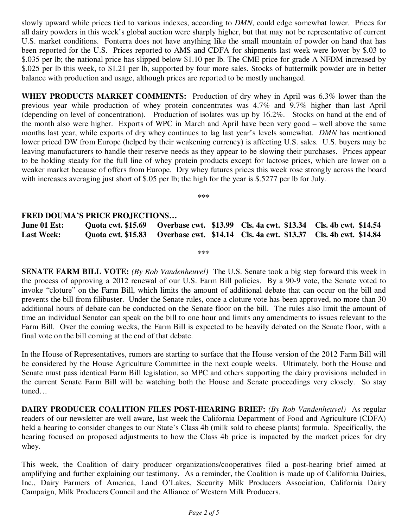slowly upward while prices tied to various indexes, according to *DMN*, could edge somewhat lower. Prices for all dairy powders in this week's global auction were sharply higher, but that may not be representative of current U.S. market conditions. Fonterra does not have anything like the small mountain of powder on hand that has been reported for the U.S. Prices reported to AMS and CDFA for shipments last week were lower by \$.03 to \$.035 per lb; the national price has slipped below \$1.10 per lb. The CME price for grade A NFDM increased by \$.025 per lb this week, to \$1.21 per lb, supported by four more sales. Stocks of buttermilk powder are in better balance with production and usage, although prices are reported to be mostly unchanged.

**WHEY PRODUCTS MARKET COMMENTS:** Production of dry whey in April was 6.3% lower than the previous year while production of whey protein concentrates was 4.7% and 9.7% higher than last April (depending on level of concentration). Production of isolates was up by 16.2%. Stocks on hand at the end of the month also were higher. Exports of WPC in March and April have been very good – well above the same months last year, while exports of dry whey continues to lag last year's levels somewhat. *DMN* has mentioned lower priced DW from Europe (helped by their weakening currency) is affecting U.S. sales. U.S. buyers may be leaving manufacturers to handle their reserve needs as they appear to be slowing their purchases. Prices appear to be holding steady for the full line of whey protein products except for lactose prices, which are lower on a weaker market because of offers from Europe. Dry whey futures prices this week rose strongly across the board with increases averaging just short of \$.05 per lb; the high for the year is \$.5277 per lb for July.

**\*\*\*** 

## **FRED DOUMA'S PRICE PROJECTIONS…**

**June 01 Est: Quota cwt. \$15.69 Overbase cwt. \$13.99 Cls. 4a cwt. \$13.34 Cls. 4b cwt. \$14.54 Last Week: Quota cwt. \$15.83 Overbase cwt. \$14.14 Cls. 4a cwt. \$13.37 Cls. 4b cwt. \$14.84** 

**\*\*\*** 

**SENATE FARM BILL VOTE:** *(By Rob Vandenheuvel)* The U.S. Senate took a big step forward this week in the process of approving a 2012 renewal of our U.S. Farm Bill policies. By a 90-9 vote, the Senate voted to invoke "cloture" on the Farm Bill, which limits the amount of additional debate that can occur on the bill and prevents the bill from filibuster. Under the Senate rules, once a cloture vote has been approved, no more than 30 additional hours of debate can be conducted on the Senate floor on the bill. The rules also limit the amount of time an individual Senator can speak on the bill to one hour and limits any amendments to issues relevant to the Farm Bill. Over the coming weeks, the Farm Bill is expected to be heavily debated on the Senate floor, with a final vote on the bill coming at the end of that debate.

In the House of Representatives, rumors are starting to surface that the House version of the 2012 Farm Bill will be considered by the House Agriculture Committee in the next couple weeks. Ultimately, both the House and Senate must pass identical Farm Bill legislation, so MPC and others supporting the dairy provisions included in the current Senate Farm Bill will be watching both the House and Senate proceedings very closely. So stay tuned…

**DAIRY PRODUCER COALITION FILES POST-HEARING BRIEF:** *(By Rob Vandenheuvel)* As regular readers of our newsletter are well aware, last week the California Department of Food and Agriculture (CDFA) held a hearing to consider changes to our State's Class 4b (milk sold to cheese plants) formula. Specifically, the hearing focused on proposed adjustments to how the Class 4b price is impacted by the market prices for dry whey.

This week, the Coalition of dairy producer organizations/cooperatives filed a post-hearing brief aimed at amplifying and further explaining our testimony. As a reminder, the Coalition is made up of California Dairies, Inc., Dairy Farmers of America, Land O'Lakes, Security Milk Producers Association, California Dairy Campaign, Milk Producers Council and the Alliance of Western Milk Producers.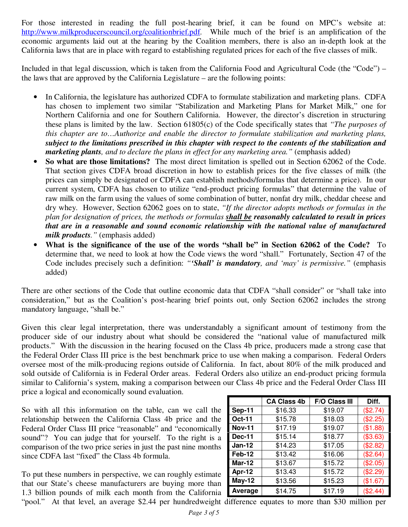For those interested in reading the full post-hearing brief, it can be found on MPC's website at: http://www.milkproducerscouncil.org/coalitionbrief.pdf. While much of the brief is an amplification of the economic arguments laid out at the hearing by the Coalition members, there is also an in-depth look at the California laws that are in place with regard to establishing regulated prices for each of the five classes of milk.

Included in that legal discussion, which is taken from the California Food and Agricultural Code (the "Code") – the laws that are approved by the California Legislature – are the following points:

- In California, the legislature has authorized CDFA to formulate stabilization and marketing plans. CDFA has chosen to implement two similar "Stabilization and Marketing Plans for Market Milk," one for Northern California and one for Southern California. However, the director's discretion in structuring these plans is limited by the law. Section 61805(c) of the Code specifically states that *"The purposes of this chapter are to…Authorize and enable the director to formulate stabilization and marketing plans, subject to the limitations prescribed in this chapter with respect to the contents of the stabilization and marketing plants, and to declare the plans in effect for any marketing area."* (emphasis added)
- **So what are those limitations?** The most direct limitation is spelled out in Section 62062 of the Code. That section gives CDFA broad discretion in how to establish prices for the five classes of milk (the prices can simply be designated or CDFA can establish methods/formulas that determine a price). In our current system, CDFA has chosen to utilize "end-product pricing formulas" that determine the value of raw milk on the farm using the values of some combination of butter, nonfat dry milk, cheddar cheese and dry whey. However, Section 62062 goes on to state, *"If the director adopts methods or formulas in the plan for designation of prices, the methods or formulas shall be reasonably calculated to result in prices that are in a reasonable and sound economic relationship with the national value of manufactured milk products."* (emphasis added)
- **What is the significance of the use of the words "shall be" in Section 62062 of the Code?** To determine that, we need to look at how the Code views the word "shall." Fortunately, Section 47 of the Code includes precisely such a definition: *"'Shall' is mandatory, and 'may' is permissive."* (emphasis added)

There are other sections of the Code that outline economic data that CDFA "shall consider" or "shall take into consideration," but as the Coalition's post-hearing brief points out, only Section 62062 includes the strong mandatory language, "shall be."

Given this clear legal interpretation, there was understandably a significant amount of testimony from the producer side of our industry about what should be considered the "national value of manufactured milk products." With the discussion in the hearing focused on the Class 4b price, producers made a strong case that the Federal Order Class III price is the best benchmark price to use when making a comparison. Federal Orders oversee most of the milk-producing regions outside of California. In fact, about 80% of the milk produced and sold outside of California is in Federal Order areas. Federal Orders also utilize an end-product pricing formula similar to California's system, making a comparison between our Class 4b price and the Federal Order Class III price a logical and economically sound evaluation.

So with all this information on the table, can we call the relationship between the California Class 4b price and the Federal Order Class III price "reasonable" and "economically sound"? You can judge that for yourself. To the right is a comparison of the two price series in just the past nine months since CDFA last "fixed" the Class 4b formula.

To put these numbers in perspective, we can roughly estimate that our State's cheese manufacturers are buying more than 1.3 billion pounds of milk each month from the California

|               | <b>CA Class 4b</b> | F/O Class III | Diff.    |
|---------------|--------------------|---------------|----------|
| <b>Sep-11</b> | \$16.33            | \$19.07       | (\$2.74) |
| Oct-11        | \$15.78            | \$18.03       | (\$2.25) |
| <b>Nov-11</b> | \$17.19            | \$19.07       | (\$1.88) |
| <b>Dec-11</b> | \$15.14            | \$18.77       | (\$3.63) |
| $Jan-12$      | \$14.23            | \$17.05       | (\$2.82) |
| <b>Feb-12</b> | \$13.42            | \$16.06       | (\$2.64) |
| <b>Mar-12</b> | \$13.67            | \$15.72       | (\$2.05) |
| Apr-12        | \$13.43            | \$15.72       | (\$2.29) |
| $May-12$      | \$13.56            | \$15.23       | (\$1.67) |
| Average       | \$14.75            | \$17.19       | (\$2.44) |

"pool." At that level, an average \$2.44 per hundredweight difference equates to more than \$30 million per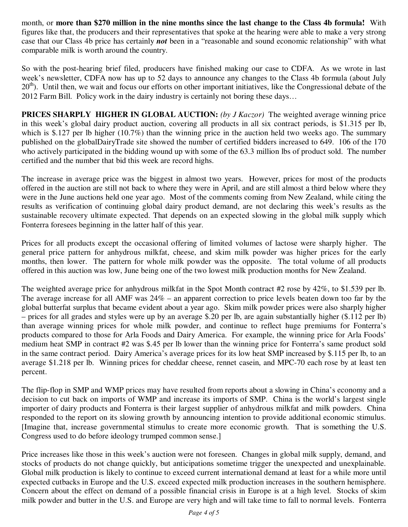month, or **more than \$270 million in the nine months since the last change to the Class 4b formula!** With figures like that, the producers and their representatives that spoke at the hearing were able to make a very strong case that our Class 4b price has certainly *not* been in a "reasonable and sound economic relationship" with what comparable milk is worth around the country.

So with the post-hearing brief filed, producers have finished making our case to CDFA. As we wrote in last week's newsletter, CDFA now has up to 52 days to announce any changes to the Class 4b formula (about July  $20<sup>th</sup>$ ). Until then, we wait and focus our efforts on other important initiatives, like the Congressional debate of the 2012 Farm Bill. Policy work in the dairy industry is certainly not boring these days…

**PRICES SHARPLY HIGHER IN GLOBAL AUCTION:** *(by J Kaczor)* The weighted average winning price in this week's global dairy product auction, covering all products in all six contract periods, is \$1.315 per lb, which is \$.127 per lb higher (10.7%) than the winning price in the auction held two weeks ago. The summary published on the globalDairyTrade site showed the number of certified bidders increased to 649. 106 of the 170 who actively participated in the bidding wound up with some of the 63.3 million lbs of product sold. The number certified and the number that bid this week are record highs.

The increase in average price was the biggest in almost two years. However, prices for most of the products offered in the auction are still not back to where they were in April, and are still almost a third below where they were in the June auctions held one year ago. Most of the comments coming from New Zealand, while citing the results as verification of continuing global dairy product demand, are not declaring this week's results as the sustainable recovery ultimate expected. That depends on an expected slowing in the global milk supply which Fonterra foresees beginning in the latter half of this year.

Prices for all products except the occasional offering of limited volumes of lactose were sharply higher. The general price pattern for anhydrous milkfat, cheese, and skim milk powder was higher prices for the early months, then lower. The pattern for whole milk powder was the opposite. The total volume of all products offered in this auction was low, June being one of the two lowest milk production months for New Zealand.

The weighted average price for anhydrous milkfat in the Spot Month contract #2 rose by 42%, to \$1.539 per lb. The average increase for all AMF was  $24\%$  – an apparent correction to price levels beaten down too far by the global butterfat surplus that became evident about a year ago. Skim milk powder prices were also sharply higher – prices for all grades and styles were up by an average \$.20 per lb, are again substantially higher (\$.112 per lb) than average winning prices for whole milk powder, and continue to reflect huge premiums for Fonterra's products compared to those for Arla Foods and Dairy America. For example, the winning price for Arla Foods' medium heat SMP in contract #2 was \$.45 per lb lower than the winning price for Fonterra's same product sold in the same contract period. Dairy America's average prices for its low heat SMP increased by \$.115 per lb, to an average \$1.218 per lb. Winning prices for cheddar cheese, rennet casein, and MPC-70 each rose by at least ten percent.

The flip-flop in SMP and WMP prices may have resulted from reports about a slowing in China's economy and a decision to cut back on imports of WMP and increase its imports of SMP. China is the world's largest single importer of dairy products and Fonterra is their largest supplier of anhydrous milkfat and milk powders. China responded to the report on its slowing growth by announcing intention to provide additional economic stimulus. [Imagine that, increase governmental stimulus to create more economic growth. That is something the U.S. Congress used to do before ideology trumped common sense.]

Price increases like those in this week's auction were not foreseen. Changes in global milk supply, demand, and stocks of products do not change quickly, but anticipations sometime trigger the unexpected and unexplainable. Global milk production is likely to continue to exceed current international demand at least for a while more until expected cutbacks in Europe and the U.S. exceed expected milk production increases in the southern hemisphere. Concern about the effect on demand of a possible financial crisis in Europe is at a high level. Stocks of skim milk powder and butter in the U.S. and Europe are very high and will take time to fall to normal levels. Fonterra